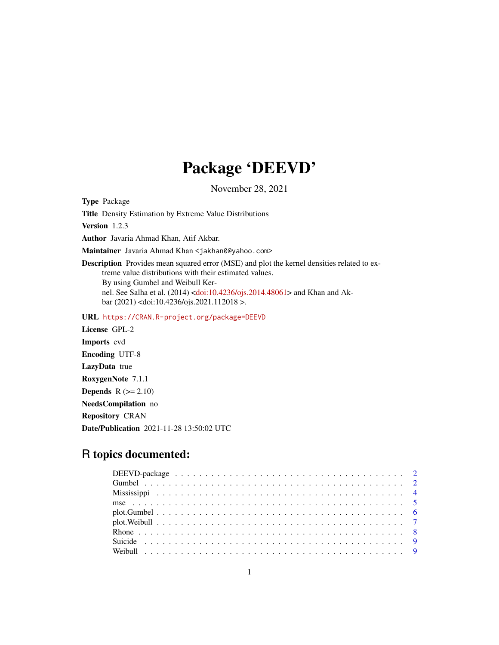## Package 'DEEVD'

November 28, 2021

Type Package

Title Density Estimation by Extreme Value Distributions

Version 1.2.3

Author Javaria Ahmad Khan, Atif Akbar.

Maintainer Javaria Ahmad Khan <jakhan0@yahoo.com>

Description Provides mean squared error (MSE) and plot the kernel densities related to extreme value distributions with their estimated values. By using Gumbel and Weibull Kernel. See Salha et al. (2014) [<doi:10.4236/ojs.2014.48061>](https://doi.org/10.4236/ojs.2014.48061) and Khan and Ak-

bar (2021) <doi:10.4236/ojs.2021.112018 >.

URL <https://CRAN.R-project.org/package=DEEVD>

License GPL-2 Imports evd Encoding UTF-8 LazyData true RoxygenNote 7.1.1 **Depends**  $R$  ( $>= 2.10$ ) NeedsCompilation no Repository CRAN Date/Publication 2021-11-28 13:50:02 UTC

### R topics documented: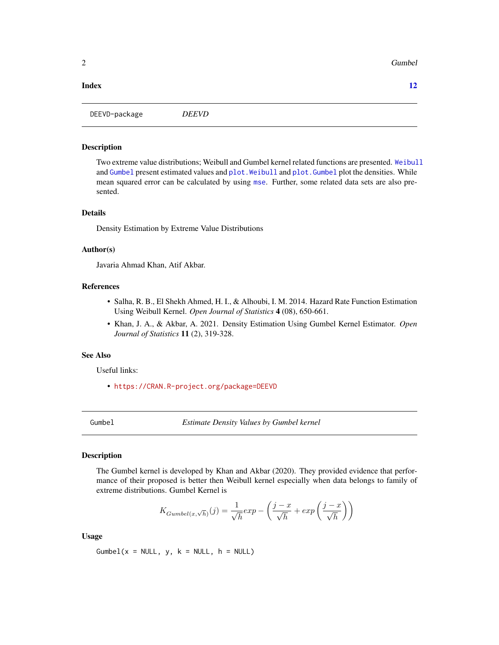#### <span id="page-1-0"></span>**Index** [12](#page-11-0)

DEEVD-package *DEEVD*

#### Description

Two extreme value distributions; Weibull and Gumbel kernel related functions are presented. [Weibull](#page-8-1) and [Gumbel](#page-1-1) present estimated values and plot. Weibull and plot. Gumbel plot the densities. While mean squared error can be calculated by using [mse](#page-4-1). Further, some related data sets are also presented.

#### Details

Density Estimation by Extreme Value Distributions

#### Author(s)

Javaria Ahmad Khan, Atif Akbar.

#### References

- Salha, R. B., El Shekh Ahmed, H. I., & Alhoubi, I. M. 2014. Hazard Rate Function Estimation Using Weibull Kernel. *Open Journal of Statistics* 4 (08), 650-661.
- Khan, J. A., & Akbar, A. 2021. Density Estimation Using Gumbel Kernel Estimator. *Open Journal of Statistics* 11 (2), 319-328.

#### See Also

Useful links:

• <https://CRAN.R-project.org/package=DEEVD>

<span id="page-1-1"></span>Gumbel *Estimate Density Values by Gumbel kernel*

#### Description

The Gumbel kernel is developed by Khan and Akbar (2020). They provided evidence that performance of their proposed is better then Weibull kernel especially when data belongs to family of extreme distributions. Gumbel Kernel is

$$
K_{Gumbel(x,\sqrt{h})}(j) = \frac{1}{\sqrt{h}} exp - \left(\frac{j-x}{\sqrt{h}} + exp\left(\frac{j-x}{\sqrt{h}}\right)\right)
$$

Usage

Gumbel( $x = NULL$ ,  $y$ ,  $k = NULL$ ,  $h = NULL$ )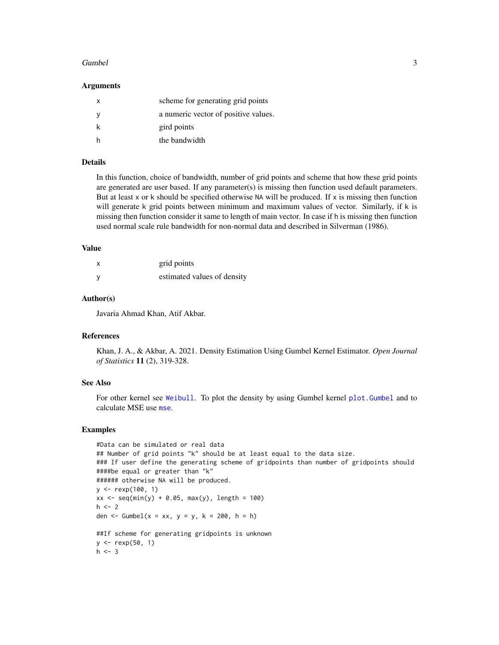#### <span id="page-2-0"></span>Gumbel 3

#### Arguments

| x  | scheme for generating grid points    |
|----|--------------------------------------|
| -V | a numeric vector of positive values. |
| k  | gird points                          |
| h  | the bandwidth                        |

#### Details

In this function, choice of bandwidth, number of grid points and scheme that how these grid points are generated are user based. If any parameter(s) is missing then function used default parameters. But at least  $x$  or  $k$  should be specified otherwise NA will be produced. If  $x$  is missing then function will generate k grid points between minimum and maximum values of vector. Similarly, if k is missing then function consider it same to length of main vector. In case if h is missing then function used normal scale rule bandwidth for non-normal data and described in Silverman (1986).

#### Value

| x            | grid points                 |
|--------------|-----------------------------|
| $\mathbf{y}$ | estimated values of density |

#### Author(s)

Javaria Ahmad Khan, Atif Akbar.

#### References

Khan, J. A., & Akbar, A. 2021. Density Estimation Using Gumbel Kernel Estimator. *Open Journal of Statistics* 11 (2), 319-328.

#### See Also

For other kernel see [Weibull](#page-8-1). To plot the density by using Gumbel kernel [plot.Gumbel](#page-5-1) and to calculate MSE use [mse](#page-4-1).

#### Examples

```
#Data can be simulated or real data
## Number of grid points "k" should be at least equal to the data size.
### If user define the generating scheme of gridpoints than number of gridpoints should
####be equal or greater than "k"
###### otherwise NA will be produced.
y \le - rexp(100, 1)
xx \le -\text{seq}(\min(y) + 0.05, \max(y), \text{length} = 100)h < -2den <- Gumbel(x = xx, y = y, k = 200, h = h)
##If scheme for generating gridpoints is unknown
y \le - rexp(50, 1)
h \leq -3
```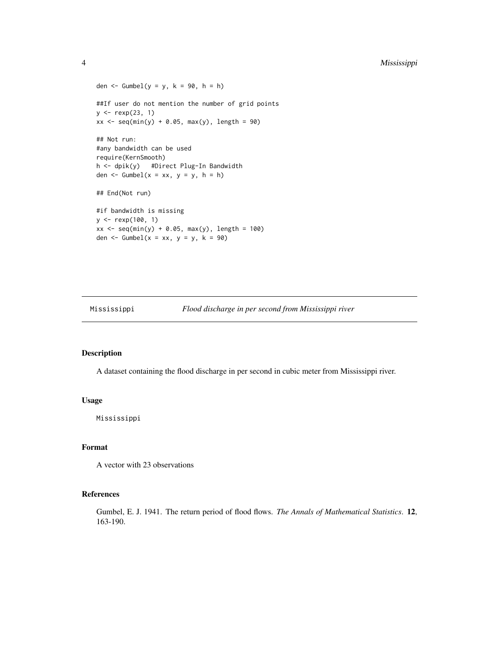```
den \le - Gumbel(y = y, k = 90, h = h)
##If user do not mention the number of grid points
y \le - rexp(23, 1)
xx \le - seq(min(y) + 0.05, max(y), length = 90)
## Not run:
#any bandwidth can be used
require(KernSmooth)
h <- dpik(y) #Direct Plug-In Bandwidth
den \le Gumbel(x = xx, y = y, h = h)
## End(Not run)
#if bandwidth is missing
y <- rexp(100, 1)
xx < - seq(min(y) + 0.05, max(y), length = 100)
den \le Gumbel(x = xx, y = y, k = 90)
```
Mississippi *Flood discharge in per second from Mississippi river*

#### Description

A dataset containing the flood discharge in per second in cubic meter from Mississippi river.

#### Usage

Mississippi

#### Format

A vector with 23 observations

#### References

Gumbel, E. J. 1941. The return period of flood flows. *The Annals of Mathematical Statistics*. 12, 163-190.

<span id="page-3-0"></span>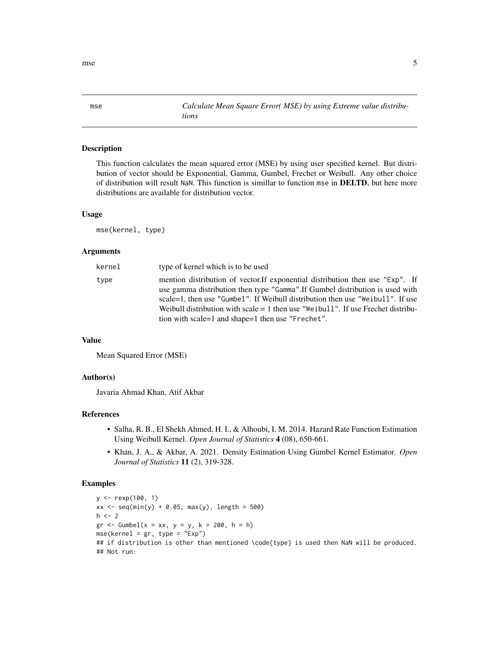<span id="page-4-1"></span>mse *Calculate Mean Square Error( MSE) by using Extreme value distributions*

#### Description

This function calculates the mean squared error (MSE) by using user specified kernel. But distribution of vector should be Exponential, Gamma, Gumbel, Frechet or Weibull. Any other choice of distribution will result NaN. This function is simillar to function mse in DELTD, but here more distributions are available for distribution vector.

#### Usage

mse(kernel, type)

#### Arguments

| kernel | type of kernel which is to be used                                                                                                                                                                                                                                                                                                                                                           |
|--------|----------------------------------------------------------------------------------------------------------------------------------------------------------------------------------------------------------------------------------------------------------------------------------------------------------------------------------------------------------------------------------------------|
| type   | mention distribution of vector. If exponential distribution then use "Exp". If<br>use gamma distribution then type "Gamma". If Gumbel distribution is used with<br>scale=1, then use "Gumbel". If Weibull distribution then use "Weibull". If use<br>Weibull distribution with scale $= 1$ then use "Weibull". If use Frechet distribu-<br>tion with scale=1 and shape=1 then use "Frechet". |
|        |                                                                                                                                                                                                                                                                                                                                                                                              |

#### Value

Mean Squared Error (MSE)

#### Author(s)

Javaria Ahmad Khan, Atif Akbar

#### References

- Salha, R. B., El Shekh Ahmed, H. I., & Alhoubi, I. M. 2014. Hazard Rate Function Estimation Using Weibull Kernel. *Open Journal of Statistics* 4 (08), 650-661.
- Khan, J. A., & Akbar, A. 2021. Density Estimation Using Gumbel Kernel Estimator. *Open Journal of Statistics* 11 (2), 319-328.

#### Examples

```
y <- rexp(100, 1)
xx < - seq(min(y) + 0.05, max(y), length = 500)
h < -2gr \le - Gumbel(x = xx, y = y, k = 200, h = h)
mse(kerne1 = gr, type = "Exp")## if distribution is other than mentioned \code{type} is used then NaN will be produced.
## Not run:
```
<span id="page-4-0"></span>mse 5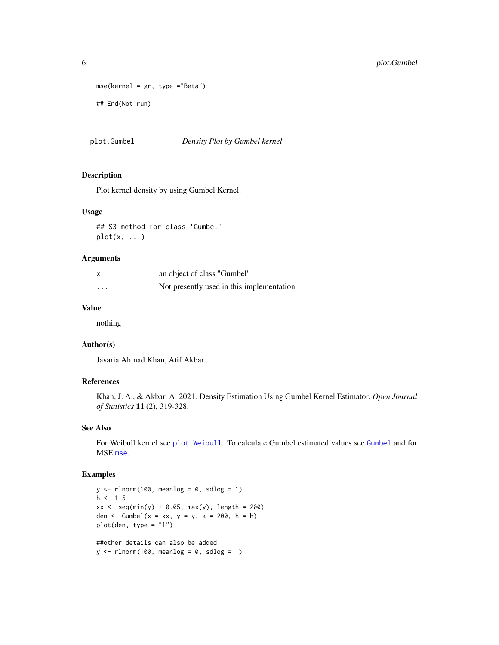```
mse(kernel = gr, type ="Beta")
## End(Not run)
```
<span id="page-5-1"></span>plot.Gumbel *Density Plot by Gumbel kernel*

#### Description

Plot kernel density by using Gumbel Kernel.

#### Usage

## S3 method for class 'Gumbel' plot(x, ...)

#### Arguments

| $\boldsymbol{\mathsf{x}}$ | an object of class "Gumbel"               |
|---------------------------|-------------------------------------------|
| $\cdots$                  | Not presently used in this implementation |

#### Value

nothing

#### Author(s)

Javaria Ahmad Khan, Atif Akbar.

#### References

Khan, J. A., & Akbar, A. 2021. Density Estimation Using Gumbel Kernel Estimator. *Open Journal of Statistics* 11 (2), 319-328.

#### See Also

For Weibull kernel see [plot.Weibull](#page-6-1). To calculate Gumbel estimated values see [Gumbel](#page-1-1) and for MSE [mse](#page-4-1).

#### Examples

```
y \le - rlnorm(100, meanlog = 0, sdlog = 1)
h \le -1.5xx < - seq(min(y) + 0.05, max(y), length = 200)
den <- Gumbel(x = xx, y = y, k = 200, h = h)
plot(den, type = "l")
##other details can also be added
y \le - rlnorm(100, meanlog = 0, sdlog = 1)
```
<span id="page-5-0"></span>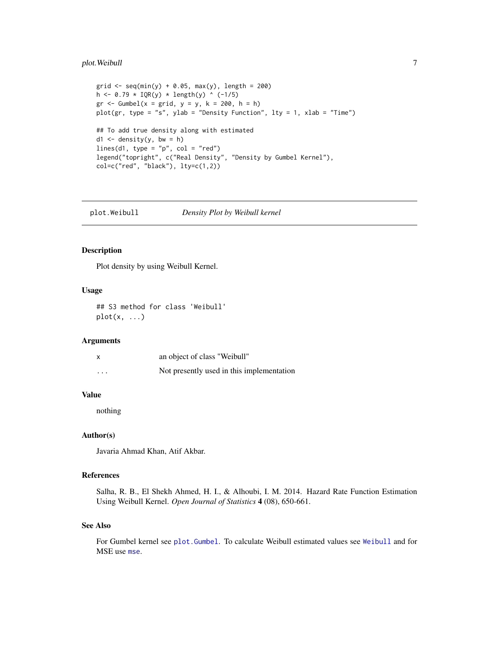#### <span id="page-6-0"></span>plot.Weibull 7

```
grid \leq seq(min(y) + 0.05, max(y), length = 200)
h \le -0.79 \times IQR(y) \times length(y) ^ (-1/5)
gr \leftarrow Gumbel(x = grid, y = y, k = 200, h = h)plot(gr, type = "s", ylab = "Density Function", lty = 1, xlab = "Time")
## To add true density along with estimated
d1 \leq - density(y, bw = h)
lines(d1, type = "p", col = "red")
legend("topright", c("Real Density", "Density by Gumbel Kernel"),
col=c("red", "black"), lty=c(1,2))
```
<span id="page-6-1"></span>plot.Weibull *Density Plot by Weibull kernel*

#### Description

Plot density by using Weibull Kernel.

#### Usage

## S3 method for class 'Weibull'  $plot(x, \ldots)$ 

#### Arguments

| X        | an object of class "Weibull"              |
|----------|-------------------------------------------|
| $\cdots$ | Not presently used in this implementation |

#### Value

nothing

#### Author(s)

Javaria Ahmad Khan, Atif Akbar.

#### References

Salha, R. B., El Shekh Ahmed, H. I., & Alhoubi, I. M. 2014. Hazard Rate Function Estimation Using Weibull Kernel. *Open Journal of Statistics* 4 (08), 650-661.

#### See Also

For Gumbel kernel see [plot.Gumbel](#page-5-1). To calculate Weibull estimated values see [Weibull](#page-8-1) and for MSE use [mse](#page-4-1).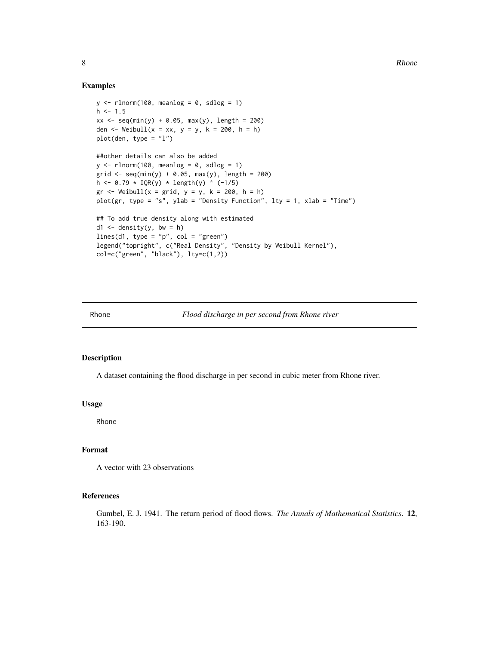#### Examples

```
y \le - rlnorm(100, meanlog = 0, sdlog = 1)
h \le -1.5xx \le - seq(min(y) + 0.05, max(y), length = 200)
den <- Weibull(x = xx, y = y, k = 200, h = h)plot(den, type = "l")
##other details can also be added
y \le - rlnorm(100, meanlog = 0, sdlog = 1)
grid < -seq(min(y) + 0.05, max(y), length = 200)h <- 0.79 * IQR(y) * length(y) ^ (-1/5)
gr <- Weibull(x = grid, y = y, k = 200, h = h)
plot(gr, type = "s", ylab = "Density Function", lty = 1, xlab = "Time")
## To add true density along with estimated
d1 \leq - density(y, bw = h)
lines(d1, type = "p", col = "green")legend("topright", c("Real Density", "Density by Weibull Kernel"),
col=c("green", "black"), lty=c(1,2))
```
Rhone *Flood discharge in per second from Rhone river*

#### Description

A dataset containing the flood discharge in per second in cubic meter from Rhone river.

#### Usage

Rhone

#### Format

A vector with 23 observations

#### References

Gumbel, E. J. 1941. The return period of flood flows. *The Annals of Mathematical Statistics*. 12, 163-190.

<span id="page-7-0"></span>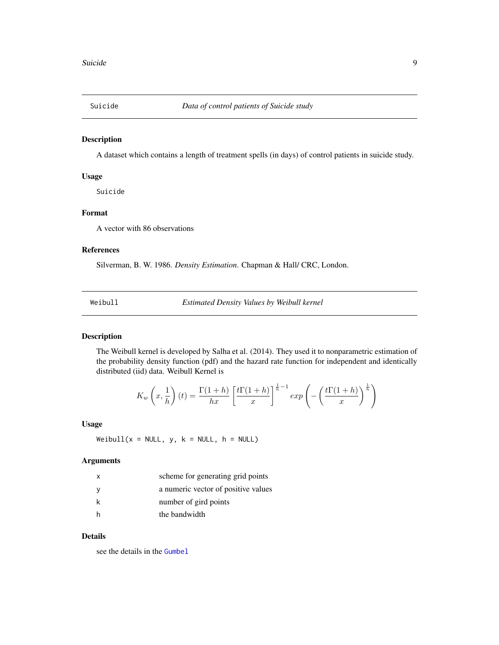<span id="page-8-0"></span>

#### Description

A dataset which contains a length of treatment spells (in days) of control patients in suicide study.

#### Usage

Suicide

#### Format

A vector with 86 observations

#### References

Silverman, B. W. 1986. *Density Estimation*. Chapman & Hall/ CRC, London.

<span id="page-8-1"></span>Weibull *Estimated Density Values by Weibull kernel*

#### Description

The Weibull kernel is developed by Salha et al. (2014). They used it to nonparametric estimation of the probability density function (pdf) and the hazard rate function for independent and identically distributed (iid) data. Weibull Kernel is

$$
K_w\left(x,\frac{1}{h}\right)(t) = \frac{\Gamma(1+h)}{hx} \left[\frac{t\Gamma(1+h)}{x}\right]^{\frac{1}{h}-1} \exp\left(-\left(\frac{t\Gamma(1+h)}{x}\right)^{\frac{1}{h}}\right)
$$

#### Usage

Weibull( $x = NULL$ ,  $y$ ,  $k = NULL$ ,  $h = NULL$ )

#### Arguments

| $\mathsf{x}$ | scheme for generating grid points   |
|--------------|-------------------------------------|
|              | a numeric vector of positive values |
| k            | number of gird points               |
| -h           | the bandwidth                       |

#### Details

see the details in the [Gumbel](#page-1-1)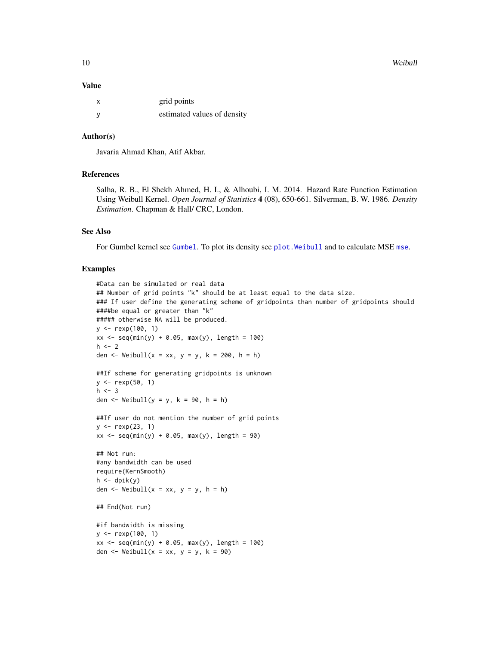<span id="page-9-0"></span>10 Weibull and the contract of the contract of the contract of the contract of the contract of the contract of the contract of the contract of the contract of the contract of the contract of the contract of the contract of

#### Value

| grid points                 |
|-----------------------------|
| estimated values of density |

#### Author(s)

Javaria Ahmad Khan, Atif Akbar.

#### References

Salha, R. B., El Shekh Ahmed, H. I., & Alhoubi, I. M. 2014. Hazard Rate Function Estimation Using Weibull Kernel. *Open Journal of Statistics* 4 (08), 650-661. Silverman, B. W. 1986. *Density Estimation*. Chapman & Hall/ CRC, London.

#### See Also

For [Gumbel](#page-1-1) kernel see Gumbel. To plot its density see plot. Weibull and to calculate MSE [mse](#page-4-1).

#### Examples

```
#Data can be simulated or real data
## Number of grid points "k" should be at least equal to the data size.
### If user define the generating scheme of gridpoints than number of gridpoints should
####be equal or greater than "k"
##### otherwise NA will be produced.
y \le - rexp(100, 1)
xx \le - seq(min(y) + 0.05, max(y), length = 100)
h < -2den \le Weibull(x = xx, y = y, k = 200, h = h)
##If scheme for generating gridpoints is unknown
y \le - rexp(50, 1)
h < -3den \le Weibull(y = y, k = 90, h = h)
##If user do not mention the number of grid points
y \leq - rexp(23, 1)
xx < - seq(min(y) + 0.05, max(y), length = 90)
## Not run:
#any bandwidth can be used
require(KernSmooth)
h \leftarrow dpik(y)
den \le Weibull(x = xx, y = y, h = h)
## End(Not run)
#if bandwidth is missing
y <- rexp(100, 1)
xx \le -\text{seq}(\min(y) + 0.05, \max(y), \text{length} = 100)den \le Weibull(x = xx, y = y, k = 90)
```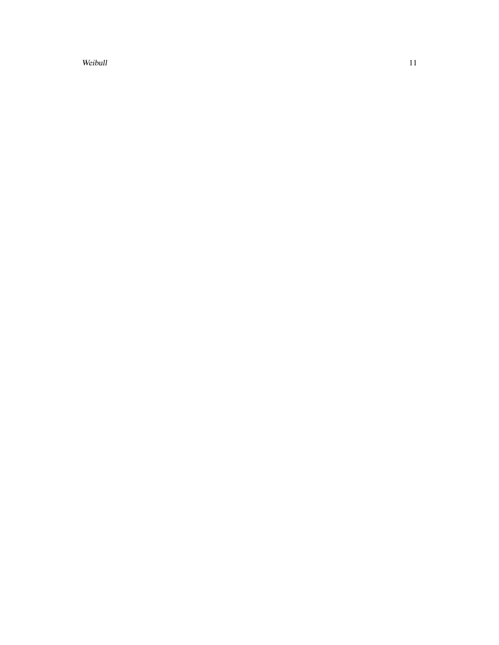Weibull 2012 and 2013 and 2014 and 2013 and 2014 and 2014 and 2014 and 2014 and 2014 and 2014 and 2014 and 201